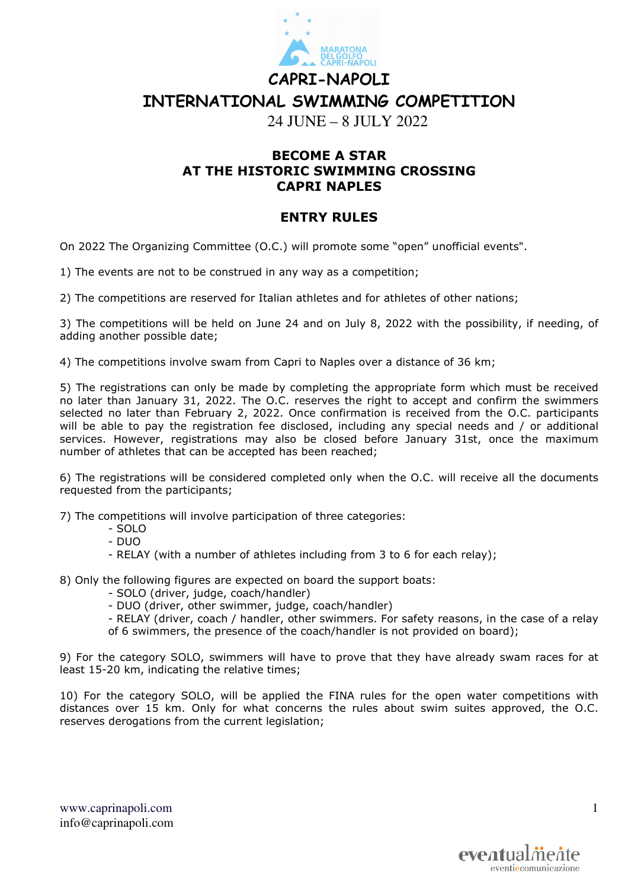

## **CAPRI-NAPOLI INTERNATIONAL SWIMMING COMPETITION**

24 JUNE – 8 JULY 2022

## **BECOME A STAR AT THE HISTORIC SWIMMING CROSSING CAPRI NAPLES**

## **ENTRY RULES**

On 2022 The Organizing Committee (O.C.) will promote some "open" unofficial events".

1) The events are not to be construed in any way as a competition;

2) The competitions are reserved for Italian athletes and for athletes of other nations;

3) The competitions will be held on June 24 and on July 8, 2022 with the possibility, if needing, of adding another possible date;

4) The competitions involve swam from Capri to Naples over a distance of 36 km;

5) The registrations can only be made by completing the appropriate form which must be received no later than January 31, 2022. The O.C. reserves the right to accept and confirm the swimmers selected no later than February 2, 2022. Once confirmation is received from the O.C. participants will be able to pay the registration fee disclosed, including any special needs and / or additional services. However, registrations may also be closed before January 31st, once the maximum number of athletes that can be accepted has been reached;

6) The registrations will be considered completed only when the O.C. will receive all the documents requested from the participants;

7) The competitions will involve participation of three categories:

- SOLO
- DUO
- RELAY (with a number of athletes including from 3 to 6 for each relay);
- 8) Only the following figures are expected on board the support boats:
	- SOLO (driver, judge, coach/handler)

- DUO (driver, other swimmer, judge, coach/handler)

- RELAY (driver, coach / handler, other swimmers. For safety reasons, in the case of a relay of 6 swimmers, the presence of the coach/handler is not provided on board);

9) For the category SOLO, swimmers will have to prove that they have already swam races for at least 15-20 km, indicating the relative times;

10) For the category SOLO, will be applied the FINA rules for the open water competitions with distances over 15 km. Only for what concerns the rules about swim suites approved, the O.C. reserves derogations from the current legislation;

www.caprinapoli.com info@caprinapoli.com 1

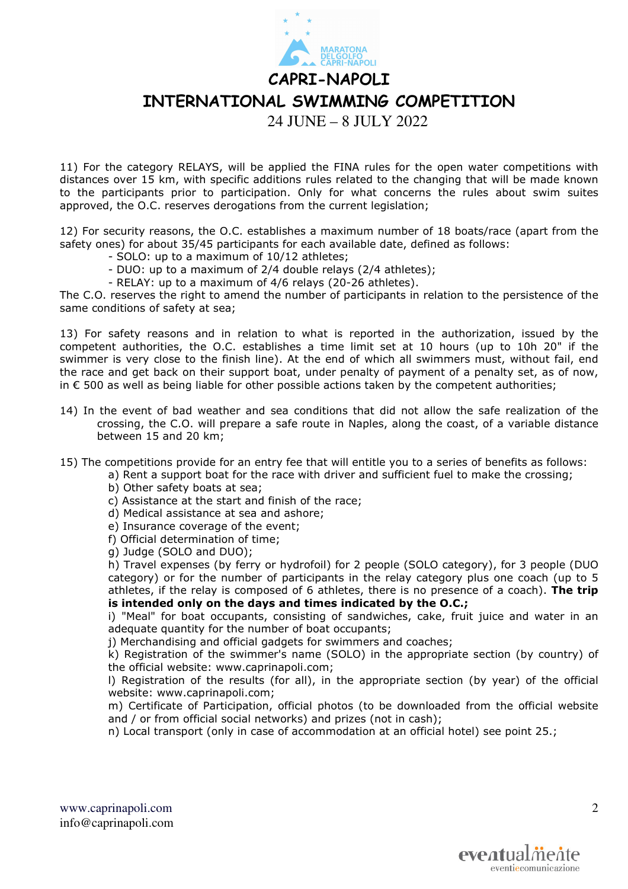**CAPRI-NAPOLI** 

**INTERNATIONAL SWIMMING COMPETITION** 

24 JUNE – 8 JULY 2022

11) For the category RELAYS, will be applied the FINA rules for the open water competitions with distances over 15 km, with specific additions rules related to the changing that will be made known to the participants prior to participation. Only for what concerns the rules about swim suites approved, the O.C. reserves derogations from the current legislation;

12) For security reasons, the O.C. establishes a maximum number of 18 boats/race (apart from the safety ones) for about 35/45 participants for each available date, defined as follows:

- SOLO: up to a maximum of 10/12 athletes;
- DUO: up to a maximum of 2/4 double relays (2/4 athletes);
- RELAY: up to a maximum of 4/6 relays (20-26 athletes).

The C.O. reserves the right to amend the number of participants in relation to the persistence of the same conditions of safety at sea;

13) For safety reasons and in relation to what is reported in the authorization, issued by the competent authorities, the O.C. establishes a time limit set at 10 hours (up to 10h 20" if the swimmer is very close to the finish line). At the end of which all swimmers must, without fail, end the race and get back on their support boat, under penalty of payment of a penalty set, as of now, in € 500 as well as being liable for other possible actions taken by the competent authorities;

- 14) In the event of bad weather and sea conditions that did not allow the safe realization of the crossing, the C.O. will prepare a safe route in Naples, along the coast, of a variable distance between 15 and 20 km;
- 15) The competitions provide for an entry fee that will entitle you to a series of benefits as follows:
	- a) Rent a support boat for the race with driver and sufficient fuel to make the crossing;
		- b) Other safety boats at sea;
		- c) Assistance at the start and finish of the race;
		- d) Medical assistance at sea and ashore;
		- e) Insurance coverage of the event;
		- f) Official determination of time;
		- g) Judge (SOLO and DUO);

h) Travel expenses (by ferry or hydrofoil) for 2 people (SOLO category), for 3 people (DUO category) or for the number of participants in the relay category plus one coach (up to 5 athletes, if the relay is composed of 6 athletes, there is no presence of a coach). **The trip is intended only on the days and times indicated by the O.C.;**

i) "Meal" for boat occupants, consisting of sandwiches, cake, fruit juice and water in an adequate quantity for the number of boat occupants;

j) Merchandising and official gadgets for swimmers and coaches;

k) Registration of the swimmer's name (SOLO) in the appropriate section (by country) of the official website: www.caprinapoli.com;

l) Registration of the results (for all), in the appropriate section (by year) of the official website: www.caprinapoli.com;

m) Certificate of Participation, official photos (to be downloaded from the official website and / or from official social networks) and prizes (not in cash);

n) Local transport (only in case of accommodation at an official hotel) see point 25.;

www.caprinapoli.com info@caprinapoli.com

 $\mathcal{D}_{\mathcal{L}}$ 

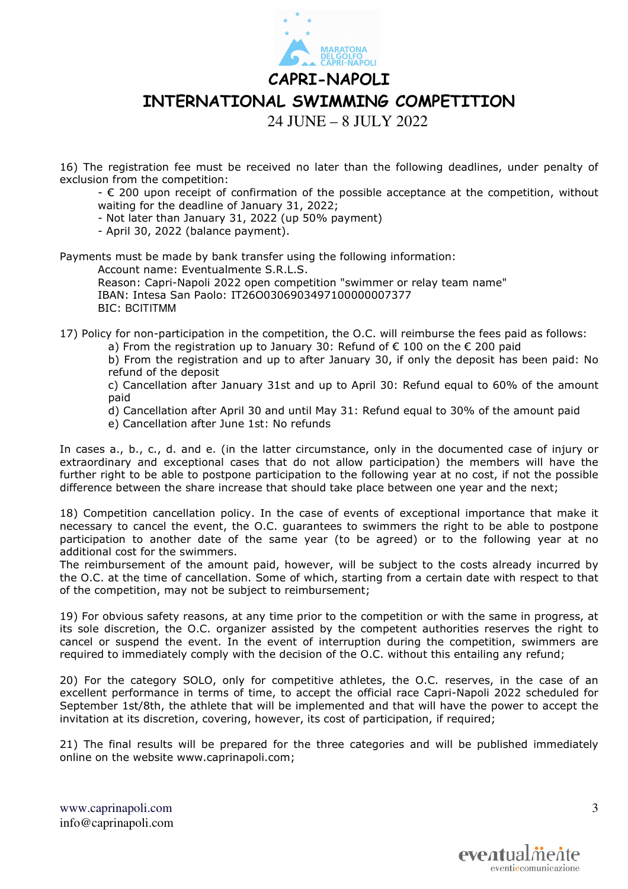**CAPRI-NAPOLI** 

**INTERNATIONAL SWIMMING COMPETITION** 

24 JUNE – 8 JULY 2022

16) The registration fee must be received no later than the following deadlines, under penalty of exclusion from the competition:

- € 200 upon receipt of confirmation of the possible acceptance at the competition, without waiting for the deadline of January 31, 2022;

- Not later than January 31, 2022 (up 50% payment)

- April 30, 2022 (balance payment).

Payments must be made by bank transfer using the following information:

Account name: Eventualmente S.R.L.S.

Reason: Capri-Napoli 2022 open competition "swimmer or relay team name" IBAN: Intesa San Paolo: IT26O0306903497100000007377 BIC: BCITITMM

17) Policy for non-participation in the competition, the O.C. will reimburse the fees paid as follows:

a) From the registration up to January 30: Refund of  $\epsilon$  100 on the  $\epsilon$  200 paid

b) From the registration and up to after January 30, if only the deposit has been paid: No refund of the deposit

c) Cancellation after January 31st and up to April 30: Refund equal to 60% of the amount paid

d) Cancellation after April 30 and until May 31: Refund equal to 30% of the amount paid

e) Cancellation after June 1st: No refunds

In cases a., b., c., d. and e. (in the latter circumstance, only in the documented case of injury or extraordinary and exceptional cases that do not allow participation) the members will have the further right to be able to postpone participation to the following year at no cost, if not the possible difference between the share increase that should take place between one year and the next;

18) Competition cancellation policy. In the case of events of exceptional importance that make it necessary to cancel the event, the O.C. guarantees to swimmers the right to be able to postpone participation to another date of the same year (to be agreed) or to the following year at no additional cost for the swimmers.

The reimbursement of the amount paid, however, will be subject to the costs already incurred by the O.C. at the time of cancellation. Some of which, starting from a certain date with respect to that of the competition, may not be subject to reimbursement;

19) For obvious safety reasons, at any time prior to the competition or with the same in progress, at its sole discretion, the O.C. organizer assisted by the competent authorities reserves the right to cancel or suspend the event. In the event of interruption during the competition, swimmers are required to immediately comply with the decision of the O.C. without this entailing any refund;

20) For the category SOLO, only for competitive athletes, the O.C. reserves, in the case of an excellent performance in terms of time, to accept the official race Capri-Napoli 2022 scheduled for September 1st/8th, the athlete that will be implemented and that will have the power to accept the invitation at its discretion, covering, however, its cost of participation, if required;

21) The final results will be prepared for the three categories and will be published immediately online on the website www.caprinapoli.com;

www.caprinapoli.com info@caprinapoli.com 3